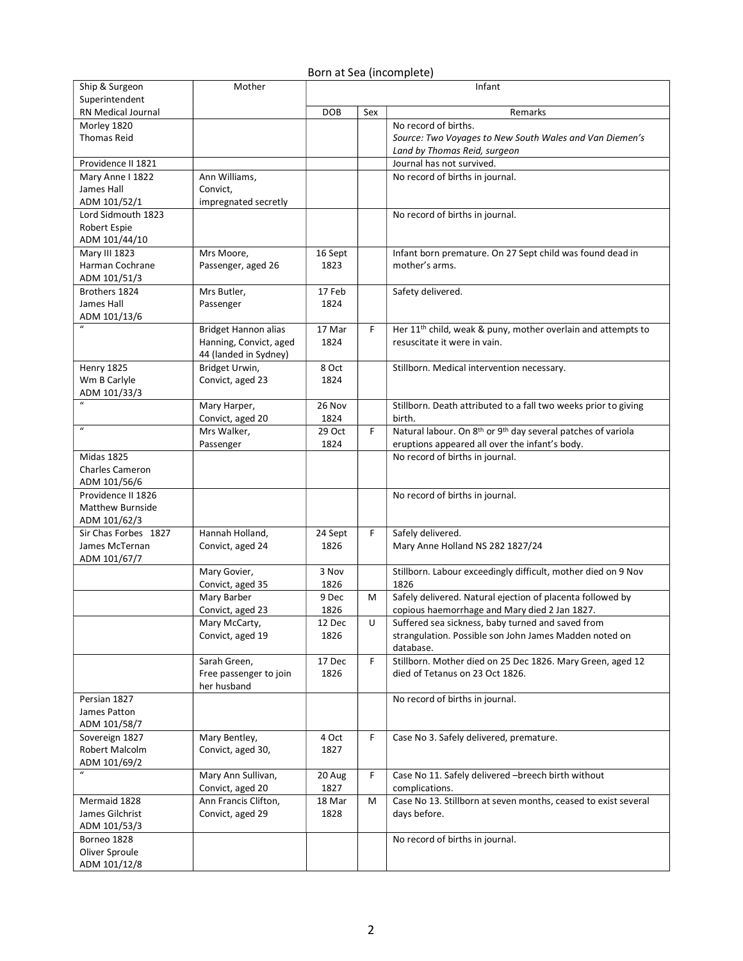## Born at Sea (incomplete)

| Ship & Surgeon                   | Mother                 | Infant        |     |                                                                                      |  |
|----------------------------------|------------------------|---------------|-----|--------------------------------------------------------------------------------------|--|
| Superintendent                   |                        |               |     |                                                                                      |  |
| RN Medical Journal               |                        | DOB           | Sex | Remarks                                                                              |  |
| Morley 1820                      |                        |               |     | No record of births.                                                                 |  |
| <b>Thomas Reid</b>               |                        |               |     | Source: Two Voyages to New South Wales and Van Diemen's                              |  |
|                                  |                        |               |     | Land by Thomas Reid, surgeon                                                         |  |
| Providence II 1821               |                        |               |     | Journal has not survived.                                                            |  |
| Mary Anne I 1822                 | Ann Williams,          |               |     | No record of births in journal.                                                      |  |
| James Hall                       | Convict,               |               |     |                                                                                      |  |
| ADM 101/52/1                     | impregnated secretly   |               |     |                                                                                      |  |
| Lord Sidmouth 1823               |                        |               |     | No record of births in journal.                                                      |  |
| Robert Espie                     |                        |               |     |                                                                                      |  |
| ADM 101/44/10                    |                        |               |     |                                                                                      |  |
| Mary III 1823                    | Mrs Moore,             | 16 Sept       |     | Infant born premature. On 27 Sept child was found dead in                            |  |
| Harman Cochrane                  | Passenger, aged 26     | 1823          |     | mother's arms.                                                                       |  |
| ADM 101/51/3                     |                        |               |     |                                                                                      |  |
| Brothers 1824                    | Mrs Butler,            | 17 Feb        |     | Safety delivered.                                                                    |  |
| James Hall                       | Passenger              | 1824          |     |                                                                                      |  |
| ADM 101/13/6                     |                        |               |     |                                                                                      |  |
|                                  | Bridget Hannon alias   | 17 Mar        | F   | Her 11 <sup>th</sup> child, weak & puny, mother overlain and attempts to             |  |
|                                  | Hanning, Convict, aged | 1824          |     | resuscitate it were in vain.                                                         |  |
|                                  | 44 (landed in Sydney)  |               |     |                                                                                      |  |
| Henry 1825                       | Bridget Urwin,         | 8 Oct         |     | Stillborn. Medical intervention necessary.                                           |  |
| Wm B Carlyle                     | Convict, aged 23       | 1824          |     |                                                                                      |  |
| ADM 101/33/3                     |                        |               |     |                                                                                      |  |
| $\boldsymbol{u}$                 | Mary Harper,           | 26 Nov        |     | Stillborn. Death attributed to a fall two weeks prior to giving                      |  |
|                                  | Convict, aged 20       | 1824          |     | birth.                                                                               |  |
| $\boldsymbol{u}$                 | Mrs Walker,            | 29 Oct        | F   | Natural labour. On 8 <sup>th</sup> or 9 <sup>th</sup> day several patches of variola |  |
|                                  | Passenger              | 1824          |     | eruptions appeared all over the infant's body.                                       |  |
| <b>Midas 1825</b>                |                        |               |     | No record of births in journal.                                                      |  |
| <b>Charles Cameron</b>           |                        |               |     |                                                                                      |  |
| ADM 101/56/6                     |                        |               |     |                                                                                      |  |
| Providence II 1826               |                        |               |     | No record of births in journal.                                                      |  |
| <b>Matthew Burnside</b>          |                        |               |     |                                                                                      |  |
| ADM 101/62/3                     |                        |               |     |                                                                                      |  |
| Sir Chas Forbes 1827             | Hannah Holland,        | 24 Sept       | F   | Safely delivered.                                                                    |  |
| James McTernan                   | Convict, aged 24       | 1826          |     | Mary Anne Holland NS 282 1827/24                                                     |  |
| ADM 101/67/7                     |                        |               |     |                                                                                      |  |
|                                  | Mary Govier,           | 3 Nov         |     | Stillborn. Labour exceedingly difficult, mother died on 9 Nov                        |  |
|                                  | Convict, aged 35       | 1826          |     | 1826                                                                                 |  |
|                                  | Mary Barber            | 9 Dec         | м   | Safely delivered. Natural ejection of placenta followed by                           |  |
|                                  | Convict, aged 23       | 1826          |     | copious haemorrhage and Mary died 2 Jan 1827.                                        |  |
|                                  | Mary McCarty,          | 12 Dec        | U   | Suffered sea sickness, baby turned and saved from                                    |  |
|                                  | Convict, aged 19       | 1826          |     | strangulation. Possible son John James Madden noted on                               |  |
|                                  |                        |               |     | database.                                                                            |  |
|                                  | Sarah Green,           | 17 Dec        | F   | Stillborn. Mother died on 25 Dec 1826. Mary Green, aged 12                           |  |
|                                  | Free passenger to join | 1826          |     | died of Tetanus on 23 Oct 1826.                                                      |  |
|                                  | her husband            |               |     |                                                                                      |  |
| Persian 1827                     |                        |               |     |                                                                                      |  |
| James Patton                     |                        |               |     | No record of births in journal.                                                      |  |
| ADM 101/58/7                     |                        |               |     |                                                                                      |  |
|                                  |                        |               |     |                                                                                      |  |
| Sovereign 1827<br>Robert Malcolm | Mary Bentley,          | 4 Oct<br>1827 | F   | Case No 3. Safely delivered, premature.                                              |  |
|                                  | Convict, aged 30,      |               |     |                                                                                      |  |
| ADM 101/69/2<br>$\boldsymbol{u}$ |                        |               |     |                                                                                      |  |
|                                  | Mary Ann Sullivan,     | 20 Aug        | F   | Case No 11. Safely delivered -breech birth without                                   |  |
|                                  | Convict, aged 20       | 1827          |     | complications.                                                                       |  |
| Mermaid 1828                     | Ann Francis Clifton,   | 18 Mar        | м   | Case No 13. Stillborn at seven months, ceased to exist several                       |  |
| James Gilchrist                  | Convict, aged 29       | 1828          |     | days before.                                                                         |  |
| ADM 101/53/3                     |                        |               |     |                                                                                      |  |
| Borneo 1828                      |                        |               |     | No record of births in journal.                                                      |  |
| Oliver Sproule                   |                        |               |     |                                                                                      |  |
| ADM 101/12/8                     |                        |               |     |                                                                                      |  |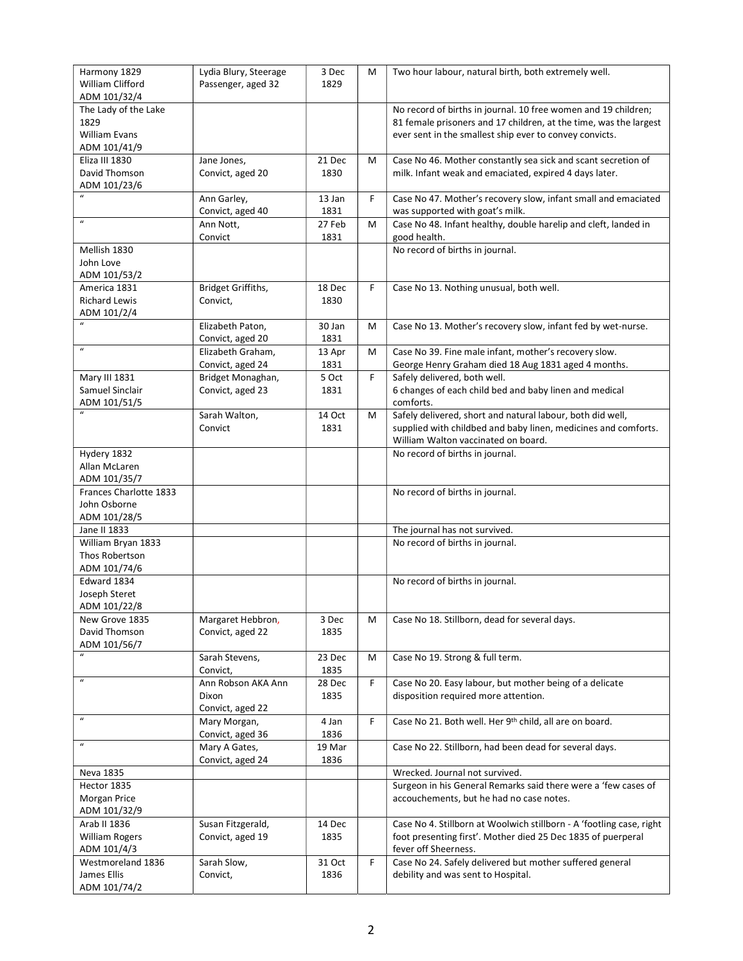| Harmony 1829                           | Lydia Blury, Steerage | 3 Dec  | M | Two hour labour, natural birth, both extremely well.                                             |
|----------------------------------------|-----------------------|--------|---|--------------------------------------------------------------------------------------------------|
| William Clifford                       | Passenger, aged 32    | 1829   |   |                                                                                                  |
| ADM 101/32/4                           |                       |        |   |                                                                                                  |
| The Lady of the Lake                   |                       |        |   | No record of births in journal. 10 free women and 19 children;                                   |
| 1829                                   |                       |        |   | 81 female prisoners and 17 children, at the time, was the largest                                |
| William Evans                          |                       |        |   | ever sent in the smallest ship ever to convey convicts.                                          |
| ADM 101/41/9                           |                       |        |   |                                                                                                  |
| Eliza III 1830<br>David Thomson        | Jane Jones,           | 21 Dec | M | Case No 46. Mother constantly sea sick and scant secretion of                                    |
| ADM 101/23/6                           | Convict, aged 20      | 1830   |   | milk. Infant weak and emaciated, expired 4 days later.                                           |
| $\boldsymbol{u}$                       | Ann Garley,           | 13 Jan | F | Case No 47. Mother's recovery slow, infant small and emaciated                                   |
|                                        | Convict, aged 40      | 1831   |   | was supported with goat's milk.                                                                  |
| $\boldsymbol{u}$                       | Ann Nott,             | 27 Feb | M | Case No 48. Infant healthy, double harelip and cleft, landed in                                  |
|                                        | Convict               | 1831   |   | good health.                                                                                     |
| Mellish 1830                           |                       |        |   | No record of births in journal.                                                                  |
| John Love                              |                       |        |   |                                                                                                  |
| ADM 101/53/2                           |                       |        |   |                                                                                                  |
| America 1831                           | Bridget Griffiths,    | 18 Dec | F | Case No 13. Nothing unusual, both well.                                                          |
| <b>Richard Lewis</b>                   | Convict,              | 1830   |   |                                                                                                  |
| ADM 101/2/4                            |                       |        |   |                                                                                                  |
|                                        | Elizabeth Paton,      | 30 Jan | М | Case No 13. Mother's recovery slow, infant fed by wet-nurse.                                     |
|                                        | Convict, aged 20      | 1831   |   |                                                                                                  |
| $\boldsymbol{u}$                       | Elizabeth Graham,     | 13 Apr | М | Case No 39. Fine male infant, mother's recovery slow.                                            |
|                                        | Convict, aged 24      | 1831   |   | George Henry Graham died 18 Aug 1831 aged 4 months.                                              |
| Mary III 1831                          | Bridget Monaghan,     | 5 Oct  | F | Safely delivered, both well.                                                                     |
| Samuel Sinclair                        | Convict, aged 23      | 1831   |   | 6 changes of each child bed and baby linen and medical                                           |
| ADM 101/51/5                           |                       |        |   | comforts.                                                                                        |
|                                        | Sarah Walton,         | 14 Oct | М | Safely delivered, short and natural labour, both did well,                                       |
|                                        | Convict               | 1831   |   | supplied with childbed and baby linen, medicines and comforts.                                   |
|                                        |                       |        |   | William Walton vaccinated on board.                                                              |
| Hydery 1832                            |                       |        |   | No record of births in journal.                                                                  |
| Allan McLaren                          |                       |        |   |                                                                                                  |
| ADM 101/35/7<br>Frances Charlotte 1833 |                       |        |   | No record of births in journal.                                                                  |
| John Osborne                           |                       |        |   |                                                                                                  |
| ADM 101/28/5                           |                       |        |   |                                                                                                  |
| Jane II 1833                           |                       |        |   | The journal has not survived.                                                                    |
| William Bryan 1833                     |                       |        |   | No record of births in journal.                                                                  |
| Thos Robertson                         |                       |        |   |                                                                                                  |
| ADM 101/74/6                           |                       |        |   |                                                                                                  |
| Edward 1834                            |                       |        |   | No record of births in journal.                                                                  |
| Joseph Steret                          |                       |        |   |                                                                                                  |
| ADM 101/22/8                           |                       |        |   |                                                                                                  |
| New Grove 1835                         | Margaret Hebbron,     | 3 Dec  | М | Case No 18. Stillborn, dead for several days.                                                    |
| David Thomson                          | Convict, aged 22      | 1835   |   |                                                                                                  |
| ADM 101/56/7                           |                       |        |   |                                                                                                  |
| $\mathbf{u}$                           | Sarah Stevens,        | 23 Dec | М | Case No 19. Strong & full term.                                                                  |
|                                        | Convict,              | 1835   |   |                                                                                                  |
| $\boldsymbol{u}$                       | Ann Robson AKA Ann    | 28 Dec | F | Case No 20. Easy labour, but mother being of a delicate                                          |
|                                        | Dixon                 | 1835   |   | disposition required more attention.                                                             |
| $\boldsymbol{\mathcal{U}}$             | Convict, aged 22      |        |   |                                                                                                  |
|                                        | Mary Morgan,          | 4 Jan  | F | Case No 21. Both well. Her 9th child, all are on board.                                          |
| $\boldsymbol{u}$                       | Convict, aged 36      | 1836   |   |                                                                                                  |
|                                        | Mary A Gates,         | 19 Mar |   | Case No 22. Stillborn, had been dead for several days.                                           |
|                                        | Convict, aged 24      | 1836   |   |                                                                                                  |
| Neva 1835<br>Hector 1835               |                       |        |   | Wrecked. Journal not survived.<br>Surgeon in his General Remarks said there were a 'few cases of |
| Morgan Price                           |                       |        |   | accouchements, but he had no case notes.                                                         |
| ADM 101/32/9                           |                       |        |   |                                                                                                  |
| Arab II 1836                           | Susan Fitzgerald,     | 14 Dec |   | Case No 4. Stillborn at Woolwich stillborn - A 'footling case, right                             |
| William Rogers                         | Convict, aged 19      | 1835   |   | foot presenting first'. Mother died 25 Dec 1835 of puerperal                                     |
| ADM 101/4/3                            |                       |        |   | fever off Sheerness.                                                                             |
| Westmoreland 1836                      | Sarah Slow,           | 31 Oct | F | Case No 24. Safely delivered but mother suffered general                                         |
| James Ellis                            | Convict,              | 1836   |   | debility and was sent to Hospital.                                                               |
|                                        |                       |        |   |                                                                                                  |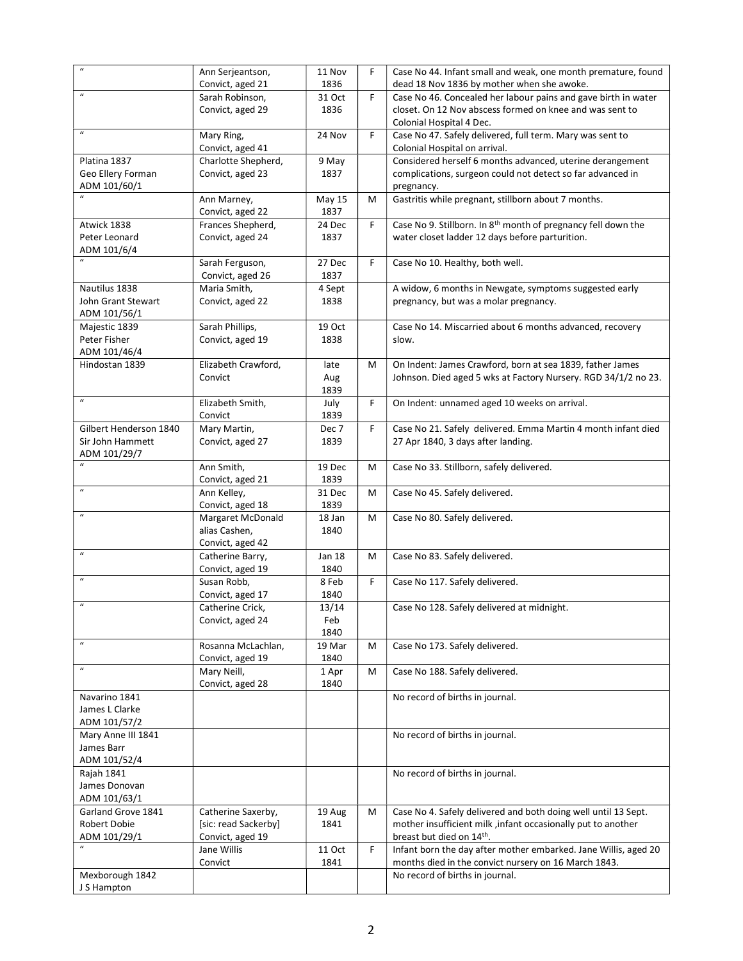| $\boldsymbol{u}$                 | Ann Serjeantson,                      | 11 Nov         | F  | Case No 44. Infant small and weak, one month premature, found                        |
|----------------------------------|---------------------------------------|----------------|----|--------------------------------------------------------------------------------------|
|                                  | Convict, aged 21                      | 1836           |    | dead 18 Nov 1836 by mother when she awoke.                                           |
| $\boldsymbol{\mathcal{U}}$       | Sarah Robinson,                       | 31 Oct         | F  | Case No 46. Concealed her labour pains and gave birth in water                       |
|                                  | Convict, aged 29                      | 1836           |    | closet. On 12 Nov abscess formed on knee and was sent to<br>Colonial Hospital 4 Dec. |
| $\boldsymbol{u}$                 | Mary Ring,                            | 24 Nov         | F  | Case No 47. Safely delivered, full term. Mary was sent to                            |
|                                  | Convict, aged 41                      |                |    | Colonial Hospital on arrival.                                                        |
| Platina 1837                     | Charlotte Shepherd,                   | 9 May          |    | Considered herself 6 months advanced, uterine derangement                            |
| Geo Ellery Forman                | Convict, aged 23                      | 1837           |    | complications, surgeon could not detect so far advanced in                           |
| ADM 101/60/1                     |                                       |                |    | pregnancy.                                                                           |
| $\boldsymbol{u}$                 | Ann Marney,                           | May 15         | М  | Gastritis while pregnant, stillborn about 7 months.                                  |
|                                  | Convict, aged 22                      | 1837           |    | Case No 9. Stillborn. In 8 <sup>th</sup> month of pregnancy fell down the            |
| Atwick 1838<br>Peter Leonard     | Frances Shepherd,<br>Convict, aged 24 | 24 Dec<br>1837 | F  | water closet ladder 12 days before parturition.                                      |
| ADM 101/6/4                      |                                       |                |    |                                                                                      |
| $\boldsymbol{\mathcal{U}}$       | Sarah Ferguson,                       | 27 Dec         | F  | Case No 10. Healthy, both well.                                                      |
|                                  | Convict, aged 26                      | 1837           |    |                                                                                      |
| Nautilus 1838                    | Maria Smith,                          | 4 Sept         |    | A widow, 6 months in Newgate, symptoms suggested early                               |
| John Grant Stewart               | Convict, aged 22                      | 1838           |    | pregnancy, but was a molar pregnancy.                                                |
| ADM 101/56/1                     |                                       |                |    |                                                                                      |
| Majestic 1839                    | Sarah Phillips,                       | 19 Oct         |    | Case No 14. Miscarried about 6 months advanced, recovery                             |
| Peter Fisher<br>ADM 101/46/4     | Convict, aged 19                      | 1838           |    | slow.                                                                                |
| Hindostan 1839                   | Elizabeth Crawford,                   | late           | М  | On Indent: James Crawford, born at sea 1839, father James                            |
|                                  | Convict                               | Aug            |    | Johnson. Died aged 5 wks at Factory Nursery. RGD 34/1/2 no 23.                       |
|                                  |                                       | 1839           |    |                                                                                      |
| $\boldsymbol{u}$                 | Elizabeth Smith,                      | July           | F  | On Indent: unnamed aged 10 weeks on arrival.                                         |
|                                  | Convict                               | 1839           |    |                                                                                      |
| Gilbert Henderson 1840           | Mary Martin,                          | Dec 7          | F  | Case No 21. Safely delivered. Emma Martin 4 month infant died                        |
| Sir John Hammett                 | Convict, aged 27                      | 1839           |    | 27 Apr 1840, 3 days after landing.                                                   |
| ADM 101/29/7<br>$\boldsymbol{u}$ |                                       |                |    |                                                                                      |
|                                  | Ann Smith,<br>Convict, aged 21        | 19 Dec<br>1839 | М  | Case No 33. Stillborn, safely delivered.                                             |
| $\boldsymbol{u}$                 | Ann Kelley,                           | 31 Dec         | М  | Case No 45. Safely delivered.                                                        |
|                                  | Convict, aged 18                      | 1839           |    |                                                                                      |
| $\boldsymbol{u}$                 | Margaret McDonald                     | 18 Jan         | М  | Case No 80. Safely delivered.                                                        |
|                                  | alias Cashen,                         | 1840           |    |                                                                                      |
| $\boldsymbol{\mathcal{U}}$       | Convict, aged 42                      | Jan 18         |    |                                                                                      |
|                                  | Catherine Barry,<br>Convict, aged 19  | 1840           | М  | Case No 83. Safely delivered.                                                        |
| $\boldsymbol{\mathcal{U}}$       | Susan Robb,                           | 8 Feb          | F. | Case No 117. Safely delivered.                                                       |
|                                  | Convict, aged 17                      | 1840           |    |                                                                                      |
| $\boldsymbol{\mathcal{U}}$       | Catherine Crick,                      | 13/14          |    | Case No 128. Safely delivered at midnight.                                           |
|                                  | Convict, aged 24                      | Feb            |    |                                                                                      |
|                                  |                                       | 1840           |    |                                                                                      |
| $\boldsymbol{\mathcal{U}}$       | Rosanna McLachlan,                    | 19 Mar         | M  | Case No 173. Safely delivered.                                                       |
| $\boldsymbol{\mathcal{U}}$       | Convict, aged 19<br>Mary Neill,       | 1840           |    | Case No 188. Safely delivered.                                                       |
|                                  | Convict, aged 28                      | 1 Apr<br>1840  | М  |                                                                                      |
| Navarino 1841                    |                                       |                |    | No record of births in journal.                                                      |
| James L Clarke                   |                                       |                |    |                                                                                      |
| ADM 101/57/2                     |                                       |                |    |                                                                                      |
| Mary Anne III 1841               |                                       |                |    | No record of births in journal.                                                      |
| James Barr                       |                                       |                |    |                                                                                      |
| ADM 101/52/4                     |                                       |                |    |                                                                                      |
| Rajah 1841<br>James Donovan      |                                       |                |    | No record of births in journal.                                                      |
| ADM 101/63/1                     |                                       |                |    |                                                                                      |
| Garland Grove 1841               | Catherine Saxerby,                    | 19 Aug         | М  | Case No 4. Safely delivered and both doing well until 13 Sept.                       |
| Robert Dobie                     | [sic: read Sackerby]                  | 1841           |    | mother insufficient milk , infant occasionally put to another                        |
| ADM 101/29/1                     | Convict, aged 19                      |                |    | breast but died on 14th.                                                             |
|                                  | Jane Willis                           | 11 Oct         | F  | Infant born the day after mother embarked. Jane Willis, aged 20                      |
|                                  | Convict                               | 1841           |    | months died in the convict nursery on 16 March 1843.                                 |
| Mexborough 1842<br>J S Hampton   |                                       |                |    | No record of births in journal.                                                      |
|                                  |                                       |                |    |                                                                                      |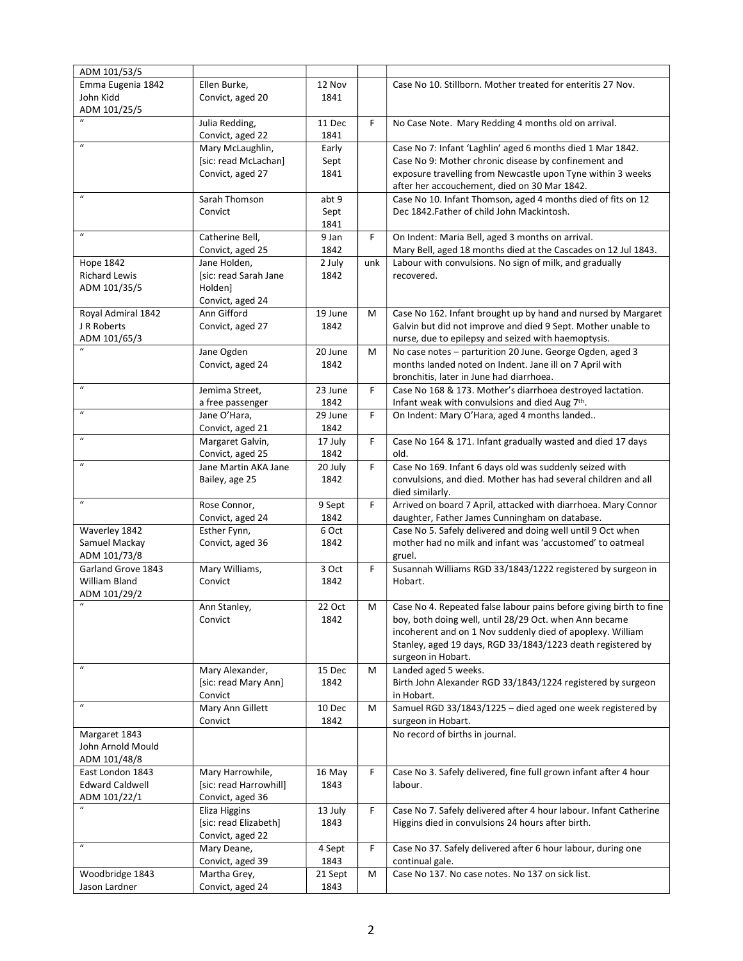| Case No 10. Stillborn. Mother treated for enteritis 27 Nov.<br>Emma Eugenia 1842<br>Ellen Burke,<br>12 Nov<br>John Kidd<br>1841<br>Convict, aged 20<br>ADM 101/25/5<br>Julia Redding,<br>F<br>No Case Note. Mary Redding 4 months old on arrival.<br>11 Dec<br>1841<br>Convict, aged 22<br>$\boldsymbol{u}$<br>Case No 7: Infant 'Laghlin' aged 6 months died 1 Mar 1842.<br>Mary McLaughlin,<br>Early<br>[sic: read McLachan]<br>Case No 9: Mother chronic disease by confinement and<br>Sept<br>Convict, aged 27<br>1841<br>exposure travelling from Newcastle upon Tyne within 3 weeks<br>after her accouchement, died on 30 Mar 1842.<br>$\boldsymbol{u}$<br>Sarah Thomson<br>abt 9<br>Case No 10. Infant Thomson, aged 4 months died of fits on 12<br>Dec 1842. Father of child John Mackintosh.<br>Convict<br>Sept<br>1841<br>$\boldsymbol{u}$<br>Catherine Bell,<br>F<br>On Indent: Maria Bell, aged 3 months on arrival.<br>9 Jan<br>Mary Bell, aged 18 months died at the Cascades on 12 Jul 1843.<br>Convict, aged 25<br>1842<br>Hope 1842<br>Jane Holden,<br>2 July<br>unk<br>Labour with convulsions. No sign of milk, and gradually<br><b>Richard Lewis</b><br>[sic: read Sarah Jane<br>recovered.<br>1842<br>ADM 101/35/5<br>Holden]<br>Convict, aged 24<br>Ann Gifford<br>Case No 162. Infant brought up by hand and nursed by Margaret<br>Royal Admiral 1842<br>19 June<br>М<br>J R Roberts<br>Galvin but did not improve and died 9 Sept. Mother unable to<br>Convict, aged 27<br>1842<br>ADM 101/65/3<br>nurse, due to epilepsy and seized with haemoptysis.<br>Jane Ogden<br>20 June<br>M<br>No case notes - parturition 20 June. George Ogden, aged 3<br>Convict, aged 24<br>1842<br>months landed noted on Indent. Jane ill on 7 April with<br>bronchitis, later in June had diarrhoea.<br>$\boldsymbol{u}$<br>Jemima Street.<br>23 June<br>F<br>Case No 168 & 173. Mother's diarrhoea destroyed lactation.<br>1842<br>Infant weak with convulsions and died Aug 7th.<br>a free passenger<br>$\boldsymbol{u}$<br>Jane O'Hara,<br>F<br>On Indent: Mary O'Hara, aged 4 months landed<br>29 June<br>1842<br>Convict, aged 21<br>$\boldsymbol{u}$<br>Margaret Galvin,<br>17 July<br>F<br>Case No 164 & 171. Infant gradually wasted and died 17 days<br>Convict, aged 25<br>1842<br>old.<br>$\boldsymbol{\mathcal{U}}$<br>F<br>Case No 169. Infant 6 days old was suddenly seized with<br>Jane Martin AKA Jane<br>20 July<br>convulsions, and died. Mother has had several children and all<br>Bailey, age 25<br>1842<br>died similarly.<br>$\boldsymbol{\mathcal{U}}$<br>F<br>Rose Connor,<br>Arrived on board 7 April, attacked with diarrhoea. Mary Connor<br>9 Sept<br>daughter, Father James Cunningham on database.<br>Convict, aged 24<br>1842<br>Case No 5. Safely delivered and doing well until 9 Oct when<br>Waverley 1842<br>Esther Fynn,<br>6 Oct<br>mother had no milk and infant was 'accustomed' to oatmeal<br>Samuel Mackay<br>Convict, aged 36<br>1842<br>ADM 101/73/8<br>gruel.<br>Mary Williams,<br>Susannah Williams RGD 33/1843/1222 registered by surgeon in<br>Garland Grove 1843<br>F<br>3 Oct<br>William Bland<br>Convict<br>1842<br>Hobart.<br>ADM 101/29/2<br>$\mathbf{u}$<br>22 Oct<br>М<br>Case No 4. Repeated false labour pains before giving birth to fine<br>Ann Stanley,<br>boy, both doing well, until 28/29 Oct. when Ann became<br>1842<br>Convict<br>incoherent and on 1 Nov suddenly died of apoplexy. William<br>Stanley, aged 19 days, RGD 33/1843/1223 death registered by<br>surgeon in Hobart.<br>$\boldsymbol{u}$<br>Mary Alexander,<br>15 Dec<br>Landed aged 5 weeks.<br>М<br>[sic: read Mary Ann]<br>1842<br>Birth John Alexander RGD 33/1843/1224 registered by surgeon<br>Convict<br>in Hobart.<br>$\boldsymbol{\mathcal{U}}$<br>Mary Ann Gillett<br>Samuel RGD 33/1843/1225 - died aged one week registered by<br>10 Dec<br>M<br>1842<br>surgeon in Hobart.<br>Convict<br>Margaret 1843<br>No record of births in journal.<br>John Arnold Mould<br>ADM 101/48/8<br>Mary Harrowhile,<br>Case No 3. Safely delivered, fine full grown infant after 4 hour<br>East London 1843<br>16 May<br>F<br>[sic: read Harrowhill]<br><b>Edward Caldwell</b><br>1843<br>labour.<br>ADM 101/22/1<br>Convict, aged 36 | ADM 101/53/5 |  |   |                                                                   |
|---------------------------------------------------------------------------------------------------------------------------------------------------------------------------------------------------------------------------------------------------------------------------------------------------------------------------------------------------------------------------------------------------------------------------------------------------------------------------------------------------------------------------------------------------------------------------------------------------------------------------------------------------------------------------------------------------------------------------------------------------------------------------------------------------------------------------------------------------------------------------------------------------------------------------------------------------------------------------------------------------------------------------------------------------------------------------------------------------------------------------------------------------------------------------------------------------------------------------------------------------------------------------------------------------------------------------------------------------------------------------------------------------------------------------------------------------------------------------------------------------------------------------------------------------------------------------------------------------------------------------------------------------------------------------------------------------------------------------------------------------------------------------------------------------------------------------------------------------------------------------------------------------------------------------------------------------------------------------------------------------------------------------------------------------------------------------------------------------------------------------------------------------------------------------------------------------------------------------------------------------------------------------------------------------------------------------------------------------------------------------------------------------------------------------------------------------------------------------------------------------------------------------------------------------------------------------------------------------------------------------------------------------------------------------------------------------------------------------------------------------------------------------------------------------------------------------------------------------------------------------------------------------------------------------------------------------------------------------------------------------------------------------------------------------------------------------------------------------------------------------------------------------------------------------------------------------------------------------------------------------------------------------------------------------------------------------------------------------------------------------------------------------------------------------------------------------------------------------------------------------------------------------------------------------------------------------------------------------------------------------------------------------------------------------------------------------------------------------------------------------------------------------------------------------------------------------------------------------------------------------------------------------------------------------------------------------------------------------------------------------------------------------------------------------------------------------------------------------------------------------------------------------------------------------------------------------------------------------------------------------------------------------|--------------|--|---|-------------------------------------------------------------------|
|                                                                                                                                                                                                                                                                                                                                                                                                                                                                                                                                                                                                                                                                                                                                                                                                                                                                                                                                                                                                                                                                                                                                                                                                                                                                                                                                                                                                                                                                                                                                                                                                                                                                                                                                                                                                                                                                                                                                                                                                                                                                                                                                                                                                                                                                                                                                                                                                                                                                                                                                                                                                                                                                                                                                                                                                                                                                                                                                                                                                                                                                                                                                                                                                                                                                                                                                                                                                                                                                                                                                                                                                                                                                                                                                                                                                                                                                                                                                                                                                                                                                                                                                                                                                                                                                           |              |  |   |                                                                   |
|                                                                                                                                                                                                                                                                                                                                                                                                                                                                                                                                                                                                                                                                                                                                                                                                                                                                                                                                                                                                                                                                                                                                                                                                                                                                                                                                                                                                                                                                                                                                                                                                                                                                                                                                                                                                                                                                                                                                                                                                                                                                                                                                                                                                                                                                                                                                                                                                                                                                                                                                                                                                                                                                                                                                                                                                                                                                                                                                                                                                                                                                                                                                                                                                                                                                                                                                                                                                                                                                                                                                                                                                                                                                                                                                                                                                                                                                                                                                                                                                                                                                                                                                                                                                                                                                           |              |  |   |                                                                   |
|                                                                                                                                                                                                                                                                                                                                                                                                                                                                                                                                                                                                                                                                                                                                                                                                                                                                                                                                                                                                                                                                                                                                                                                                                                                                                                                                                                                                                                                                                                                                                                                                                                                                                                                                                                                                                                                                                                                                                                                                                                                                                                                                                                                                                                                                                                                                                                                                                                                                                                                                                                                                                                                                                                                                                                                                                                                                                                                                                                                                                                                                                                                                                                                                                                                                                                                                                                                                                                                                                                                                                                                                                                                                                                                                                                                                                                                                                                                                                                                                                                                                                                                                                                                                                                                                           |              |  |   |                                                                   |
|                                                                                                                                                                                                                                                                                                                                                                                                                                                                                                                                                                                                                                                                                                                                                                                                                                                                                                                                                                                                                                                                                                                                                                                                                                                                                                                                                                                                                                                                                                                                                                                                                                                                                                                                                                                                                                                                                                                                                                                                                                                                                                                                                                                                                                                                                                                                                                                                                                                                                                                                                                                                                                                                                                                                                                                                                                                                                                                                                                                                                                                                                                                                                                                                                                                                                                                                                                                                                                                                                                                                                                                                                                                                                                                                                                                                                                                                                                                                                                                                                                                                                                                                                                                                                                                                           |              |  |   |                                                                   |
|                                                                                                                                                                                                                                                                                                                                                                                                                                                                                                                                                                                                                                                                                                                                                                                                                                                                                                                                                                                                                                                                                                                                                                                                                                                                                                                                                                                                                                                                                                                                                                                                                                                                                                                                                                                                                                                                                                                                                                                                                                                                                                                                                                                                                                                                                                                                                                                                                                                                                                                                                                                                                                                                                                                                                                                                                                                                                                                                                                                                                                                                                                                                                                                                                                                                                                                                                                                                                                                                                                                                                                                                                                                                                                                                                                                                                                                                                                                                                                                                                                                                                                                                                                                                                                                                           |              |  |   |                                                                   |
|                                                                                                                                                                                                                                                                                                                                                                                                                                                                                                                                                                                                                                                                                                                                                                                                                                                                                                                                                                                                                                                                                                                                                                                                                                                                                                                                                                                                                                                                                                                                                                                                                                                                                                                                                                                                                                                                                                                                                                                                                                                                                                                                                                                                                                                                                                                                                                                                                                                                                                                                                                                                                                                                                                                                                                                                                                                                                                                                                                                                                                                                                                                                                                                                                                                                                                                                                                                                                                                                                                                                                                                                                                                                                                                                                                                                                                                                                                                                                                                                                                                                                                                                                                                                                                                                           |              |  |   |                                                                   |
|                                                                                                                                                                                                                                                                                                                                                                                                                                                                                                                                                                                                                                                                                                                                                                                                                                                                                                                                                                                                                                                                                                                                                                                                                                                                                                                                                                                                                                                                                                                                                                                                                                                                                                                                                                                                                                                                                                                                                                                                                                                                                                                                                                                                                                                                                                                                                                                                                                                                                                                                                                                                                                                                                                                                                                                                                                                                                                                                                                                                                                                                                                                                                                                                                                                                                                                                                                                                                                                                                                                                                                                                                                                                                                                                                                                                                                                                                                                                                                                                                                                                                                                                                                                                                                                                           |              |  |   |                                                                   |
|                                                                                                                                                                                                                                                                                                                                                                                                                                                                                                                                                                                                                                                                                                                                                                                                                                                                                                                                                                                                                                                                                                                                                                                                                                                                                                                                                                                                                                                                                                                                                                                                                                                                                                                                                                                                                                                                                                                                                                                                                                                                                                                                                                                                                                                                                                                                                                                                                                                                                                                                                                                                                                                                                                                                                                                                                                                                                                                                                                                                                                                                                                                                                                                                                                                                                                                                                                                                                                                                                                                                                                                                                                                                                                                                                                                                                                                                                                                                                                                                                                                                                                                                                                                                                                                                           |              |  |   |                                                                   |
|                                                                                                                                                                                                                                                                                                                                                                                                                                                                                                                                                                                                                                                                                                                                                                                                                                                                                                                                                                                                                                                                                                                                                                                                                                                                                                                                                                                                                                                                                                                                                                                                                                                                                                                                                                                                                                                                                                                                                                                                                                                                                                                                                                                                                                                                                                                                                                                                                                                                                                                                                                                                                                                                                                                                                                                                                                                                                                                                                                                                                                                                                                                                                                                                                                                                                                                                                                                                                                                                                                                                                                                                                                                                                                                                                                                                                                                                                                                                                                                                                                                                                                                                                                                                                                                                           |              |  |   |                                                                   |
|                                                                                                                                                                                                                                                                                                                                                                                                                                                                                                                                                                                                                                                                                                                                                                                                                                                                                                                                                                                                                                                                                                                                                                                                                                                                                                                                                                                                                                                                                                                                                                                                                                                                                                                                                                                                                                                                                                                                                                                                                                                                                                                                                                                                                                                                                                                                                                                                                                                                                                                                                                                                                                                                                                                                                                                                                                                                                                                                                                                                                                                                                                                                                                                                                                                                                                                                                                                                                                                                                                                                                                                                                                                                                                                                                                                                                                                                                                                                                                                                                                                                                                                                                                                                                                                                           |              |  |   |                                                                   |
|                                                                                                                                                                                                                                                                                                                                                                                                                                                                                                                                                                                                                                                                                                                                                                                                                                                                                                                                                                                                                                                                                                                                                                                                                                                                                                                                                                                                                                                                                                                                                                                                                                                                                                                                                                                                                                                                                                                                                                                                                                                                                                                                                                                                                                                                                                                                                                                                                                                                                                                                                                                                                                                                                                                                                                                                                                                                                                                                                                                                                                                                                                                                                                                                                                                                                                                                                                                                                                                                                                                                                                                                                                                                                                                                                                                                                                                                                                                                                                                                                                                                                                                                                                                                                                                                           |              |  |   |                                                                   |
|                                                                                                                                                                                                                                                                                                                                                                                                                                                                                                                                                                                                                                                                                                                                                                                                                                                                                                                                                                                                                                                                                                                                                                                                                                                                                                                                                                                                                                                                                                                                                                                                                                                                                                                                                                                                                                                                                                                                                                                                                                                                                                                                                                                                                                                                                                                                                                                                                                                                                                                                                                                                                                                                                                                                                                                                                                                                                                                                                                                                                                                                                                                                                                                                                                                                                                                                                                                                                                                                                                                                                                                                                                                                                                                                                                                                                                                                                                                                                                                                                                                                                                                                                                                                                                                                           |              |  |   |                                                                   |
|                                                                                                                                                                                                                                                                                                                                                                                                                                                                                                                                                                                                                                                                                                                                                                                                                                                                                                                                                                                                                                                                                                                                                                                                                                                                                                                                                                                                                                                                                                                                                                                                                                                                                                                                                                                                                                                                                                                                                                                                                                                                                                                                                                                                                                                                                                                                                                                                                                                                                                                                                                                                                                                                                                                                                                                                                                                                                                                                                                                                                                                                                                                                                                                                                                                                                                                                                                                                                                                                                                                                                                                                                                                                                                                                                                                                                                                                                                                                                                                                                                                                                                                                                                                                                                                                           |              |  |   |                                                                   |
|                                                                                                                                                                                                                                                                                                                                                                                                                                                                                                                                                                                                                                                                                                                                                                                                                                                                                                                                                                                                                                                                                                                                                                                                                                                                                                                                                                                                                                                                                                                                                                                                                                                                                                                                                                                                                                                                                                                                                                                                                                                                                                                                                                                                                                                                                                                                                                                                                                                                                                                                                                                                                                                                                                                                                                                                                                                                                                                                                                                                                                                                                                                                                                                                                                                                                                                                                                                                                                                                                                                                                                                                                                                                                                                                                                                                                                                                                                                                                                                                                                                                                                                                                                                                                                                                           |              |  |   |                                                                   |
|                                                                                                                                                                                                                                                                                                                                                                                                                                                                                                                                                                                                                                                                                                                                                                                                                                                                                                                                                                                                                                                                                                                                                                                                                                                                                                                                                                                                                                                                                                                                                                                                                                                                                                                                                                                                                                                                                                                                                                                                                                                                                                                                                                                                                                                                                                                                                                                                                                                                                                                                                                                                                                                                                                                                                                                                                                                                                                                                                                                                                                                                                                                                                                                                                                                                                                                                                                                                                                                                                                                                                                                                                                                                                                                                                                                                                                                                                                                                                                                                                                                                                                                                                                                                                                                                           |              |  |   |                                                                   |
|                                                                                                                                                                                                                                                                                                                                                                                                                                                                                                                                                                                                                                                                                                                                                                                                                                                                                                                                                                                                                                                                                                                                                                                                                                                                                                                                                                                                                                                                                                                                                                                                                                                                                                                                                                                                                                                                                                                                                                                                                                                                                                                                                                                                                                                                                                                                                                                                                                                                                                                                                                                                                                                                                                                                                                                                                                                                                                                                                                                                                                                                                                                                                                                                                                                                                                                                                                                                                                                                                                                                                                                                                                                                                                                                                                                                                                                                                                                                                                                                                                                                                                                                                                                                                                                                           |              |  |   |                                                                   |
|                                                                                                                                                                                                                                                                                                                                                                                                                                                                                                                                                                                                                                                                                                                                                                                                                                                                                                                                                                                                                                                                                                                                                                                                                                                                                                                                                                                                                                                                                                                                                                                                                                                                                                                                                                                                                                                                                                                                                                                                                                                                                                                                                                                                                                                                                                                                                                                                                                                                                                                                                                                                                                                                                                                                                                                                                                                                                                                                                                                                                                                                                                                                                                                                                                                                                                                                                                                                                                                                                                                                                                                                                                                                                                                                                                                                                                                                                                                                                                                                                                                                                                                                                                                                                                                                           |              |  |   |                                                                   |
|                                                                                                                                                                                                                                                                                                                                                                                                                                                                                                                                                                                                                                                                                                                                                                                                                                                                                                                                                                                                                                                                                                                                                                                                                                                                                                                                                                                                                                                                                                                                                                                                                                                                                                                                                                                                                                                                                                                                                                                                                                                                                                                                                                                                                                                                                                                                                                                                                                                                                                                                                                                                                                                                                                                                                                                                                                                                                                                                                                                                                                                                                                                                                                                                                                                                                                                                                                                                                                                                                                                                                                                                                                                                                                                                                                                                                                                                                                                                                                                                                                                                                                                                                                                                                                                                           |              |  |   |                                                                   |
|                                                                                                                                                                                                                                                                                                                                                                                                                                                                                                                                                                                                                                                                                                                                                                                                                                                                                                                                                                                                                                                                                                                                                                                                                                                                                                                                                                                                                                                                                                                                                                                                                                                                                                                                                                                                                                                                                                                                                                                                                                                                                                                                                                                                                                                                                                                                                                                                                                                                                                                                                                                                                                                                                                                                                                                                                                                                                                                                                                                                                                                                                                                                                                                                                                                                                                                                                                                                                                                                                                                                                                                                                                                                                                                                                                                                                                                                                                                                                                                                                                                                                                                                                                                                                                                                           |              |  |   |                                                                   |
|                                                                                                                                                                                                                                                                                                                                                                                                                                                                                                                                                                                                                                                                                                                                                                                                                                                                                                                                                                                                                                                                                                                                                                                                                                                                                                                                                                                                                                                                                                                                                                                                                                                                                                                                                                                                                                                                                                                                                                                                                                                                                                                                                                                                                                                                                                                                                                                                                                                                                                                                                                                                                                                                                                                                                                                                                                                                                                                                                                                                                                                                                                                                                                                                                                                                                                                                                                                                                                                                                                                                                                                                                                                                                                                                                                                                                                                                                                                                                                                                                                                                                                                                                                                                                                                                           |              |  |   |                                                                   |
|                                                                                                                                                                                                                                                                                                                                                                                                                                                                                                                                                                                                                                                                                                                                                                                                                                                                                                                                                                                                                                                                                                                                                                                                                                                                                                                                                                                                                                                                                                                                                                                                                                                                                                                                                                                                                                                                                                                                                                                                                                                                                                                                                                                                                                                                                                                                                                                                                                                                                                                                                                                                                                                                                                                                                                                                                                                                                                                                                                                                                                                                                                                                                                                                                                                                                                                                                                                                                                                                                                                                                                                                                                                                                                                                                                                                                                                                                                                                                                                                                                                                                                                                                                                                                                                                           |              |  |   |                                                                   |
|                                                                                                                                                                                                                                                                                                                                                                                                                                                                                                                                                                                                                                                                                                                                                                                                                                                                                                                                                                                                                                                                                                                                                                                                                                                                                                                                                                                                                                                                                                                                                                                                                                                                                                                                                                                                                                                                                                                                                                                                                                                                                                                                                                                                                                                                                                                                                                                                                                                                                                                                                                                                                                                                                                                                                                                                                                                                                                                                                                                                                                                                                                                                                                                                                                                                                                                                                                                                                                                                                                                                                                                                                                                                                                                                                                                                                                                                                                                                                                                                                                                                                                                                                                                                                                                                           |              |  |   |                                                                   |
|                                                                                                                                                                                                                                                                                                                                                                                                                                                                                                                                                                                                                                                                                                                                                                                                                                                                                                                                                                                                                                                                                                                                                                                                                                                                                                                                                                                                                                                                                                                                                                                                                                                                                                                                                                                                                                                                                                                                                                                                                                                                                                                                                                                                                                                                                                                                                                                                                                                                                                                                                                                                                                                                                                                                                                                                                                                                                                                                                                                                                                                                                                                                                                                                                                                                                                                                                                                                                                                                                                                                                                                                                                                                                                                                                                                                                                                                                                                                                                                                                                                                                                                                                                                                                                                                           |              |  |   |                                                                   |
|                                                                                                                                                                                                                                                                                                                                                                                                                                                                                                                                                                                                                                                                                                                                                                                                                                                                                                                                                                                                                                                                                                                                                                                                                                                                                                                                                                                                                                                                                                                                                                                                                                                                                                                                                                                                                                                                                                                                                                                                                                                                                                                                                                                                                                                                                                                                                                                                                                                                                                                                                                                                                                                                                                                                                                                                                                                                                                                                                                                                                                                                                                                                                                                                                                                                                                                                                                                                                                                                                                                                                                                                                                                                                                                                                                                                                                                                                                                                                                                                                                                                                                                                                                                                                                                                           |              |  |   |                                                                   |
|                                                                                                                                                                                                                                                                                                                                                                                                                                                                                                                                                                                                                                                                                                                                                                                                                                                                                                                                                                                                                                                                                                                                                                                                                                                                                                                                                                                                                                                                                                                                                                                                                                                                                                                                                                                                                                                                                                                                                                                                                                                                                                                                                                                                                                                                                                                                                                                                                                                                                                                                                                                                                                                                                                                                                                                                                                                                                                                                                                                                                                                                                                                                                                                                                                                                                                                                                                                                                                                                                                                                                                                                                                                                                                                                                                                                                                                                                                                                                                                                                                                                                                                                                                                                                                                                           |              |  |   |                                                                   |
|                                                                                                                                                                                                                                                                                                                                                                                                                                                                                                                                                                                                                                                                                                                                                                                                                                                                                                                                                                                                                                                                                                                                                                                                                                                                                                                                                                                                                                                                                                                                                                                                                                                                                                                                                                                                                                                                                                                                                                                                                                                                                                                                                                                                                                                                                                                                                                                                                                                                                                                                                                                                                                                                                                                                                                                                                                                                                                                                                                                                                                                                                                                                                                                                                                                                                                                                                                                                                                                                                                                                                                                                                                                                                                                                                                                                                                                                                                                                                                                                                                                                                                                                                                                                                                                                           |              |  |   |                                                                   |
|                                                                                                                                                                                                                                                                                                                                                                                                                                                                                                                                                                                                                                                                                                                                                                                                                                                                                                                                                                                                                                                                                                                                                                                                                                                                                                                                                                                                                                                                                                                                                                                                                                                                                                                                                                                                                                                                                                                                                                                                                                                                                                                                                                                                                                                                                                                                                                                                                                                                                                                                                                                                                                                                                                                                                                                                                                                                                                                                                                                                                                                                                                                                                                                                                                                                                                                                                                                                                                                                                                                                                                                                                                                                                                                                                                                                                                                                                                                                                                                                                                                                                                                                                                                                                                                                           |              |  |   |                                                                   |
|                                                                                                                                                                                                                                                                                                                                                                                                                                                                                                                                                                                                                                                                                                                                                                                                                                                                                                                                                                                                                                                                                                                                                                                                                                                                                                                                                                                                                                                                                                                                                                                                                                                                                                                                                                                                                                                                                                                                                                                                                                                                                                                                                                                                                                                                                                                                                                                                                                                                                                                                                                                                                                                                                                                                                                                                                                                                                                                                                                                                                                                                                                                                                                                                                                                                                                                                                                                                                                                                                                                                                                                                                                                                                                                                                                                                                                                                                                                                                                                                                                                                                                                                                                                                                                                                           |              |  |   |                                                                   |
|                                                                                                                                                                                                                                                                                                                                                                                                                                                                                                                                                                                                                                                                                                                                                                                                                                                                                                                                                                                                                                                                                                                                                                                                                                                                                                                                                                                                                                                                                                                                                                                                                                                                                                                                                                                                                                                                                                                                                                                                                                                                                                                                                                                                                                                                                                                                                                                                                                                                                                                                                                                                                                                                                                                                                                                                                                                                                                                                                                                                                                                                                                                                                                                                                                                                                                                                                                                                                                                                                                                                                                                                                                                                                                                                                                                                                                                                                                                                                                                                                                                                                                                                                                                                                                                                           |              |  |   |                                                                   |
|                                                                                                                                                                                                                                                                                                                                                                                                                                                                                                                                                                                                                                                                                                                                                                                                                                                                                                                                                                                                                                                                                                                                                                                                                                                                                                                                                                                                                                                                                                                                                                                                                                                                                                                                                                                                                                                                                                                                                                                                                                                                                                                                                                                                                                                                                                                                                                                                                                                                                                                                                                                                                                                                                                                                                                                                                                                                                                                                                                                                                                                                                                                                                                                                                                                                                                                                                                                                                                                                                                                                                                                                                                                                                                                                                                                                                                                                                                                                                                                                                                                                                                                                                                                                                                                                           |              |  |   |                                                                   |
|                                                                                                                                                                                                                                                                                                                                                                                                                                                                                                                                                                                                                                                                                                                                                                                                                                                                                                                                                                                                                                                                                                                                                                                                                                                                                                                                                                                                                                                                                                                                                                                                                                                                                                                                                                                                                                                                                                                                                                                                                                                                                                                                                                                                                                                                                                                                                                                                                                                                                                                                                                                                                                                                                                                                                                                                                                                                                                                                                                                                                                                                                                                                                                                                                                                                                                                                                                                                                                                                                                                                                                                                                                                                                                                                                                                                                                                                                                                                                                                                                                                                                                                                                                                                                                                                           |              |  |   |                                                                   |
|                                                                                                                                                                                                                                                                                                                                                                                                                                                                                                                                                                                                                                                                                                                                                                                                                                                                                                                                                                                                                                                                                                                                                                                                                                                                                                                                                                                                                                                                                                                                                                                                                                                                                                                                                                                                                                                                                                                                                                                                                                                                                                                                                                                                                                                                                                                                                                                                                                                                                                                                                                                                                                                                                                                                                                                                                                                                                                                                                                                                                                                                                                                                                                                                                                                                                                                                                                                                                                                                                                                                                                                                                                                                                                                                                                                                                                                                                                                                                                                                                                                                                                                                                                                                                                                                           |              |  |   |                                                                   |
|                                                                                                                                                                                                                                                                                                                                                                                                                                                                                                                                                                                                                                                                                                                                                                                                                                                                                                                                                                                                                                                                                                                                                                                                                                                                                                                                                                                                                                                                                                                                                                                                                                                                                                                                                                                                                                                                                                                                                                                                                                                                                                                                                                                                                                                                                                                                                                                                                                                                                                                                                                                                                                                                                                                                                                                                                                                                                                                                                                                                                                                                                                                                                                                                                                                                                                                                                                                                                                                                                                                                                                                                                                                                                                                                                                                                                                                                                                                                                                                                                                                                                                                                                                                                                                                                           |              |  |   |                                                                   |
|                                                                                                                                                                                                                                                                                                                                                                                                                                                                                                                                                                                                                                                                                                                                                                                                                                                                                                                                                                                                                                                                                                                                                                                                                                                                                                                                                                                                                                                                                                                                                                                                                                                                                                                                                                                                                                                                                                                                                                                                                                                                                                                                                                                                                                                                                                                                                                                                                                                                                                                                                                                                                                                                                                                                                                                                                                                                                                                                                                                                                                                                                                                                                                                                                                                                                                                                                                                                                                                                                                                                                                                                                                                                                                                                                                                                                                                                                                                                                                                                                                                                                                                                                                                                                                                                           |              |  |   |                                                                   |
|                                                                                                                                                                                                                                                                                                                                                                                                                                                                                                                                                                                                                                                                                                                                                                                                                                                                                                                                                                                                                                                                                                                                                                                                                                                                                                                                                                                                                                                                                                                                                                                                                                                                                                                                                                                                                                                                                                                                                                                                                                                                                                                                                                                                                                                                                                                                                                                                                                                                                                                                                                                                                                                                                                                                                                                                                                                                                                                                                                                                                                                                                                                                                                                                                                                                                                                                                                                                                                                                                                                                                                                                                                                                                                                                                                                                                                                                                                                                                                                                                                                                                                                                                                                                                                                                           |              |  |   |                                                                   |
|                                                                                                                                                                                                                                                                                                                                                                                                                                                                                                                                                                                                                                                                                                                                                                                                                                                                                                                                                                                                                                                                                                                                                                                                                                                                                                                                                                                                                                                                                                                                                                                                                                                                                                                                                                                                                                                                                                                                                                                                                                                                                                                                                                                                                                                                                                                                                                                                                                                                                                                                                                                                                                                                                                                                                                                                                                                                                                                                                                                                                                                                                                                                                                                                                                                                                                                                                                                                                                                                                                                                                                                                                                                                                                                                                                                                                                                                                                                                                                                                                                                                                                                                                                                                                                                                           |              |  |   |                                                                   |
|                                                                                                                                                                                                                                                                                                                                                                                                                                                                                                                                                                                                                                                                                                                                                                                                                                                                                                                                                                                                                                                                                                                                                                                                                                                                                                                                                                                                                                                                                                                                                                                                                                                                                                                                                                                                                                                                                                                                                                                                                                                                                                                                                                                                                                                                                                                                                                                                                                                                                                                                                                                                                                                                                                                                                                                                                                                                                                                                                                                                                                                                                                                                                                                                                                                                                                                                                                                                                                                                                                                                                                                                                                                                                                                                                                                                                                                                                                                                                                                                                                                                                                                                                                                                                                                                           |              |  |   |                                                                   |
|                                                                                                                                                                                                                                                                                                                                                                                                                                                                                                                                                                                                                                                                                                                                                                                                                                                                                                                                                                                                                                                                                                                                                                                                                                                                                                                                                                                                                                                                                                                                                                                                                                                                                                                                                                                                                                                                                                                                                                                                                                                                                                                                                                                                                                                                                                                                                                                                                                                                                                                                                                                                                                                                                                                                                                                                                                                                                                                                                                                                                                                                                                                                                                                                                                                                                                                                                                                                                                                                                                                                                                                                                                                                                                                                                                                                                                                                                                                                                                                                                                                                                                                                                                                                                                                                           |              |  |   |                                                                   |
|                                                                                                                                                                                                                                                                                                                                                                                                                                                                                                                                                                                                                                                                                                                                                                                                                                                                                                                                                                                                                                                                                                                                                                                                                                                                                                                                                                                                                                                                                                                                                                                                                                                                                                                                                                                                                                                                                                                                                                                                                                                                                                                                                                                                                                                                                                                                                                                                                                                                                                                                                                                                                                                                                                                                                                                                                                                                                                                                                                                                                                                                                                                                                                                                                                                                                                                                                                                                                                                                                                                                                                                                                                                                                                                                                                                                                                                                                                                                                                                                                                                                                                                                                                                                                                                                           |              |  |   |                                                                   |
|                                                                                                                                                                                                                                                                                                                                                                                                                                                                                                                                                                                                                                                                                                                                                                                                                                                                                                                                                                                                                                                                                                                                                                                                                                                                                                                                                                                                                                                                                                                                                                                                                                                                                                                                                                                                                                                                                                                                                                                                                                                                                                                                                                                                                                                                                                                                                                                                                                                                                                                                                                                                                                                                                                                                                                                                                                                                                                                                                                                                                                                                                                                                                                                                                                                                                                                                                                                                                                                                                                                                                                                                                                                                                                                                                                                                                                                                                                                                                                                                                                                                                                                                                                                                                                                                           |              |  |   |                                                                   |
|                                                                                                                                                                                                                                                                                                                                                                                                                                                                                                                                                                                                                                                                                                                                                                                                                                                                                                                                                                                                                                                                                                                                                                                                                                                                                                                                                                                                                                                                                                                                                                                                                                                                                                                                                                                                                                                                                                                                                                                                                                                                                                                                                                                                                                                                                                                                                                                                                                                                                                                                                                                                                                                                                                                                                                                                                                                                                                                                                                                                                                                                                                                                                                                                                                                                                                                                                                                                                                                                                                                                                                                                                                                                                                                                                                                                                                                                                                                                                                                                                                                                                                                                                                                                                                                                           |              |  |   |                                                                   |
|                                                                                                                                                                                                                                                                                                                                                                                                                                                                                                                                                                                                                                                                                                                                                                                                                                                                                                                                                                                                                                                                                                                                                                                                                                                                                                                                                                                                                                                                                                                                                                                                                                                                                                                                                                                                                                                                                                                                                                                                                                                                                                                                                                                                                                                                                                                                                                                                                                                                                                                                                                                                                                                                                                                                                                                                                                                                                                                                                                                                                                                                                                                                                                                                                                                                                                                                                                                                                                                                                                                                                                                                                                                                                                                                                                                                                                                                                                                                                                                                                                                                                                                                                                                                                                                                           |              |  |   |                                                                   |
|                                                                                                                                                                                                                                                                                                                                                                                                                                                                                                                                                                                                                                                                                                                                                                                                                                                                                                                                                                                                                                                                                                                                                                                                                                                                                                                                                                                                                                                                                                                                                                                                                                                                                                                                                                                                                                                                                                                                                                                                                                                                                                                                                                                                                                                                                                                                                                                                                                                                                                                                                                                                                                                                                                                                                                                                                                                                                                                                                                                                                                                                                                                                                                                                                                                                                                                                                                                                                                                                                                                                                                                                                                                                                                                                                                                                                                                                                                                                                                                                                                                                                                                                                                                                                                                                           |              |  |   |                                                                   |
|                                                                                                                                                                                                                                                                                                                                                                                                                                                                                                                                                                                                                                                                                                                                                                                                                                                                                                                                                                                                                                                                                                                                                                                                                                                                                                                                                                                                                                                                                                                                                                                                                                                                                                                                                                                                                                                                                                                                                                                                                                                                                                                                                                                                                                                                                                                                                                                                                                                                                                                                                                                                                                                                                                                                                                                                                                                                                                                                                                                                                                                                                                                                                                                                                                                                                                                                                                                                                                                                                                                                                                                                                                                                                                                                                                                                                                                                                                                                                                                                                                                                                                                                                                                                                                                                           |              |  |   |                                                                   |
|                                                                                                                                                                                                                                                                                                                                                                                                                                                                                                                                                                                                                                                                                                                                                                                                                                                                                                                                                                                                                                                                                                                                                                                                                                                                                                                                                                                                                                                                                                                                                                                                                                                                                                                                                                                                                                                                                                                                                                                                                                                                                                                                                                                                                                                                                                                                                                                                                                                                                                                                                                                                                                                                                                                                                                                                                                                                                                                                                                                                                                                                                                                                                                                                                                                                                                                                                                                                                                                                                                                                                                                                                                                                                                                                                                                                                                                                                                                                                                                                                                                                                                                                                                                                                                                                           |              |  |   |                                                                   |
|                                                                                                                                                                                                                                                                                                                                                                                                                                                                                                                                                                                                                                                                                                                                                                                                                                                                                                                                                                                                                                                                                                                                                                                                                                                                                                                                                                                                                                                                                                                                                                                                                                                                                                                                                                                                                                                                                                                                                                                                                                                                                                                                                                                                                                                                                                                                                                                                                                                                                                                                                                                                                                                                                                                                                                                                                                                                                                                                                                                                                                                                                                                                                                                                                                                                                                                                                                                                                                                                                                                                                                                                                                                                                                                                                                                                                                                                                                                                                                                                                                                                                                                                                                                                                                                                           |              |  |   |                                                                   |
|                                                                                                                                                                                                                                                                                                                                                                                                                                                                                                                                                                                                                                                                                                                                                                                                                                                                                                                                                                                                                                                                                                                                                                                                                                                                                                                                                                                                                                                                                                                                                                                                                                                                                                                                                                                                                                                                                                                                                                                                                                                                                                                                                                                                                                                                                                                                                                                                                                                                                                                                                                                                                                                                                                                                                                                                                                                                                                                                                                                                                                                                                                                                                                                                                                                                                                                                                                                                                                                                                                                                                                                                                                                                                                                                                                                                                                                                                                                                                                                                                                                                                                                                                                                                                                                                           |              |  |   |                                                                   |
|                                                                                                                                                                                                                                                                                                                                                                                                                                                                                                                                                                                                                                                                                                                                                                                                                                                                                                                                                                                                                                                                                                                                                                                                                                                                                                                                                                                                                                                                                                                                                                                                                                                                                                                                                                                                                                                                                                                                                                                                                                                                                                                                                                                                                                                                                                                                                                                                                                                                                                                                                                                                                                                                                                                                                                                                                                                                                                                                                                                                                                                                                                                                                                                                                                                                                                                                                                                                                                                                                                                                                                                                                                                                                                                                                                                                                                                                                                                                                                                                                                                                                                                                                                                                                                                                           |              |  |   |                                                                   |
|                                                                                                                                                                                                                                                                                                                                                                                                                                                                                                                                                                                                                                                                                                                                                                                                                                                                                                                                                                                                                                                                                                                                                                                                                                                                                                                                                                                                                                                                                                                                                                                                                                                                                                                                                                                                                                                                                                                                                                                                                                                                                                                                                                                                                                                                                                                                                                                                                                                                                                                                                                                                                                                                                                                                                                                                                                                                                                                                                                                                                                                                                                                                                                                                                                                                                                                                                                                                                                                                                                                                                                                                                                                                                                                                                                                                                                                                                                                                                                                                                                                                                                                                                                                                                                                                           |              |  |   |                                                                   |
|                                                                                                                                                                                                                                                                                                                                                                                                                                                                                                                                                                                                                                                                                                                                                                                                                                                                                                                                                                                                                                                                                                                                                                                                                                                                                                                                                                                                                                                                                                                                                                                                                                                                                                                                                                                                                                                                                                                                                                                                                                                                                                                                                                                                                                                                                                                                                                                                                                                                                                                                                                                                                                                                                                                                                                                                                                                                                                                                                                                                                                                                                                                                                                                                                                                                                                                                                                                                                                                                                                                                                                                                                                                                                                                                                                                                                                                                                                                                                                                                                                                                                                                                                                                                                                                                           |              |  |   |                                                                   |
|                                                                                                                                                                                                                                                                                                                                                                                                                                                                                                                                                                                                                                                                                                                                                                                                                                                                                                                                                                                                                                                                                                                                                                                                                                                                                                                                                                                                                                                                                                                                                                                                                                                                                                                                                                                                                                                                                                                                                                                                                                                                                                                                                                                                                                                                                                                                                                                                                                                                                                                                                                                                                                                                                                                                                                                                                                                                                                                                                                                                                                                                                                                                                                                                                                                                                                                                                                                                                                                                                                                                                                                                                                                                                                                                                                                                                                                                                                                                                                                                                                                                                                                                                                                                                                                                           |              |  |   |                                                                   |
|                                                                                                                                                                                                                                                                                                                                                                                                                                                                                                                                                                                                                                                                                                                                                                                                                                                                                                                                                                                                                                                                                                                                                                                                                                                                                                                                                                                                                                                                                                                                                                                                                                                                                                                                                                                                                                                                                                                                                                                                                                                                                                                                                                                                                                                                                                                                                                                                                                                                                                                                                                                                                                                                                                                                                                                                                                                                                                                                                                                                                                                                                                                                                                                                                                                                                                                                                                                                                                                                                                                                                                                                                                                                                                                                                                                                                                                                                                                                                                                                                                                                                                                                                                                                                                                                           |              |  |   |                                                                   |
|                                                                                                                                                                                                                                                                                                                                                                                                                                                                                                                                                                                                                                                                                                                                                                                                                                                                                                                                                                                                                                                                                                                                                                                                                                                                                                                                                                                                                                                                                                                                                                                                                                                                                                                                                                                                                                                                                                                                                                                                                                                                                                                                                                                                                                                                                                                                                                                                                                                                                                                                                                                                                                                                                                                                                                                                                                                                                                                                                                                                                                                                                                                                                                                                                                                                                                                                                                                                                                                                                                                                                                                                                                                                                                                                                                                                                                                                                                                                                                                                                                                                                                                                                                                                                                                                           |              |  |   |                                                                   |
|                                                                                                                                                                                                                                                                                                                                                                                                                                                                                                                                                                                                                                                                                                                                                                                                                                                                                                                                                                                                                                                                                                                                                                                                                                                                                                                                                                                                                                                                                                                                                                                                                                                                                                                                                                                                                                                                                                                                                                                                                                                                                                                                                                                                                                                                                                                                                                                                                                                                                                                                                                                                                                                                                                                                                                                                                                                                                                                                                                                                                                                                                                                                                                                                                                                                                                                                                                                                                                                                                                                                                                                                                                                                                                                                                                                                                                                                                                                                                                                                                                                                                                                                                                                                                                                                           |              |  |   |                                                                   |
| Eliza Higgins<br>13 July                                                                                                                                                                                                                                                                                                                                                                                                                                                                                                                                                                                                                                                                                                                                                                                                                                                                                                                                                                                                                                                                                                                                                                                                                                                                                                                                                                                                                                                                                                                                                                                                                                                                                                                                                                                                                                                                                                                                                                                                                                                                                                                                                                                                                                                                                                                                                                                                                                                                                                                                                                                                                                                                                                                                                                                                                                                                                                                                                                                                                                                                                                                                                                                                                                                                                                                                                                                                                                                                                                                                                                                                                                                                                                                                                                                                                                                                                                                                                                                                                                                                                                                                                                                                                                                  | $\mathbf{u}$ |  | F | Case No 7. Safely delivered after 4 hour labour. Infant Catherine |
| [sic: read Elizabeth]<br>1843<br>Higgins died in convulsions 24 hours after birth.                                                                                                                                                                                                                                                                                                                                                                                                                                                                                                                                                                                                                                                                                                                                                                                                                                                                                                                                                                                                                                                                                                                                                                                                                                                                                                                                                                                                                                                                                                                                                                                                                                                                                                                                                                                                                                                                                                                                                                                                                                                                                                                                                                                                                                                                                                                                                                                                                                                                                                                                                                                                                                                                                                                                                                                                                                                                                                                                                                                                                                                                                                                                                                                                                                                                                                                                                                                                                                                                                                                                                                                                                                                                                                                                                                                                                                                                                                                                                                                                                                                                                                                                                                                        |              |  |   |                                                                   |
| Convict, aged 22                                                                                                                                                                                                                                                                                                                                                                                                                                                                                                                                                                                                                                                                                                                                                                                                                                                                                                                                                                                                                                                                                                                                                                                                                                                                                                                                                                                                                                                                                                                                                                                                                                                                                                                                                                                                                                                                                                                                                                                                                                                                                                                                                                                                                                                                                                                                                                                                                                                                                                                                                                                                                                                                                                                                                                                                                                                                                                                                                                                                                                                                                                                                                                                                                                                                                                                                                                                                                                                                                                                                                                                                                                                                                                                                                                                                                                                                                                                                                                                                                                                                                                                                                                                                                                                          |              |  |   |                                                                   |
| $\boldsymbol{u}$<br>F<br>Mary Deane,<br>4 Sept<br>Case No 37. Safely delivered after 6 hour labour, during one                                                                                                                                                                                                                                                                                                                                                                                                                                                                                                                                                                                                                                                                                                                                                                                                                                                                                                                                                                                                                                                                                                                                                                                                                                                                                                                                                                                                                                                                                                                                                                                                                                                                                                                                                                                                                                                                                                                                                                                                                                                                                                                                                                                                                                                                                                                                                                                                                                                                                                                                                                                                                                                                                                                                                                                                                                                                                                                                                                                                                                                                                                                                                                                                                                                                                                                                                                                                                                                                                                                                                                                                                                                                                                                                                                                                                                                                                                                                                                                                                                                                                                                                                            |              |  |   |                                                                   |
| Convict, aged 39<br>1843<br>continual gale.                                                                                                                                                                                                                                                                                                                                                                                                                                                                                                                                                                                                                                                                                                                                                                                                                                                                                                                                                                                                                                                                                                                                                                                                                                                                                                                                                                                                                                                                                                                                                                                                                                                                                                                                                                                                                                                                                                                                                                                                                                                                                                                                                                                                                                                                                                                                                                                                                                                                                                                                                                                                                                                                                                                                                                                                                                                                                                                                                                                                                                                                                                                                                                                                                                                                                                                                                                                                                                                                                                                                                                                                                                                                                                                                                                                                                                                                                                                                                                                                                                                                                                                                                                                                                               |              |  |   |                                                                   |
| Case No 137. No case notes. No 137 on sick list.<br>Woodbridge 1843<br>Martha Grey,<br>21 Sept<br>М                                                                                                                                                                                                                                                                                                                                                                                                                                                                                                                                                                                                                                                                                                                                                                                                                                                                                                                                                                                                                                                                                                                                                                                                                                                                                                                                                                                                                                                                                                                                                                                                                                                                                                                                                                                                                                                                                                                                                                                                                                                                                                                                                                                                                                                                                                                                                                                                                                                                                                                                                                                                                                                                                                                                                                                                                                                                                                                                                                                                                                                                                                                                                                                                                                                                                                                                                                                                                                                                                                                                                                                                                                                                                                                                                                                                                                                                                                                                                                                                                                                                                                                                                                       |              |  |   |                                                                   |
| Jason Lardner<br>Convict, aged 24<br>1843                                                                                                                                                                                                                                                                                                                                                                                                                                                                                                                                                                                                                                                                                                                                                                                                                                                                                                                                                                                                                                                                                                                                                                                                                                                                                                                                                                                                                                                                                                                                                                                                                                                                                                                                                                                                                                                                                                                                                                                                                                                                                                                                                                                                                                                                                                                                                                                                                                                                                                                                                                                                                                                                                                                                                                                                                                                                                                                                                                                                                                                                                                                                                                                                                                                                                                                                                                                                                                                                                                                                                                                                                                                                                                                                                                                                                                                                                                                                                                                                                                                                                                                                                                                                                                 |              |  |   |                                                                   |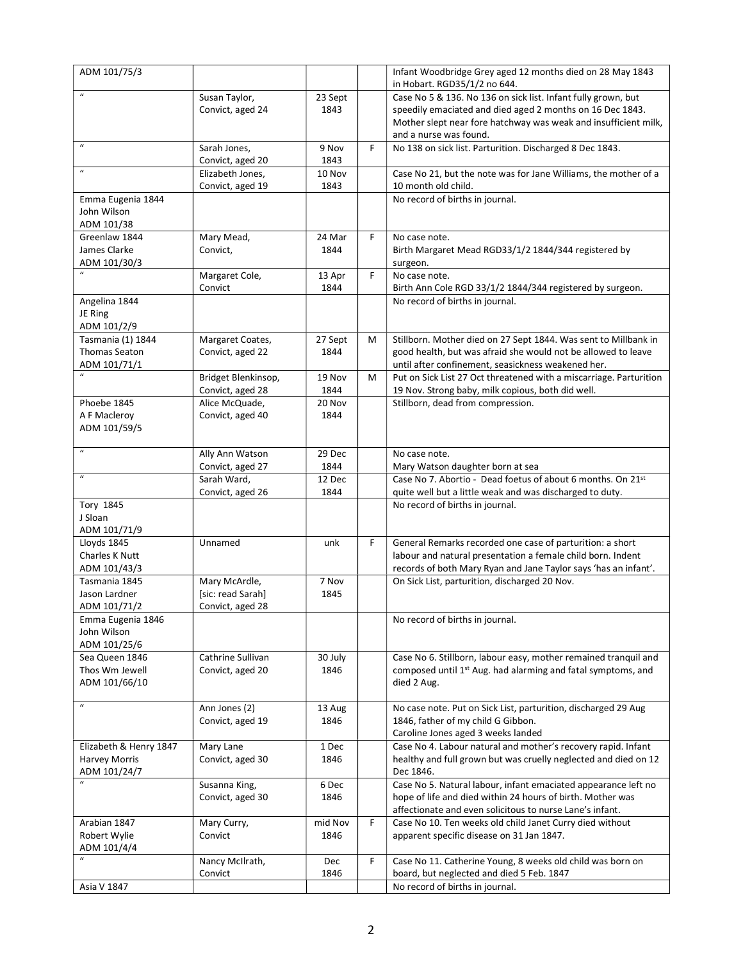| ADM 101/75/3                              |                        |                 |   | Infant Woodbridge Grey aged 12 months died on 28 May 1843                                                                |
|-------------------------------------------|------------------------|-----------------|---|--------------------------------------------------------------------------------------------------------------------------|
| $\overline{u}$                            |                        |                 |   | in Hobart. RGD35/1/2 no 644.                                                                                             |
|                                           | Susan Taylor,          | 23 Sept         |   | Case No 5 & 136. No 136 on sick list. Infant fully grown, but                                                            |
|                                           | Convict, aged 24       | 1843            |   | speedily emaciated and died aged 2 months on 16 Dec 1843.                                                                |
|                                           |                        |                 |   | Mother slept near fore hatchway was weak and insufficient milk,<br>and a nurse was found.                                |
| $\boldsymbol{u}$                          | Sarah Jones,           | 9 Nov           | F | No 138 on sick list. Parturition. Discharged 8 Dec 1843.                                                                 |
|                                           | Convict, aged 20       | 1843            |   |                                                                                                                          |
| $\boldsymbol{u}$                          | Elizabeth Jones,       | 10 Nov          |   | Case No 21, but the note was for Jane Williams, the mother of a                                                          |
|                                           | Convict, aged 19       | 1843            |   | 10 month old child.                                                                                                      |
| Emma Eugenia 1844                         |                        |                 |   | No record of births in journal.                                                                                          |
| John Wilson                               |                        |                 |   |                                                                                                                          |
| ADM 101/38                                |                        |                 |   |                                                                                                                          |
| Greenlaw 1844                             | Mary Mead,             | 24 Mar          | F | No case note.                                                                                                            |
| James Clarke                              | Convict,               | 1844            |   | Birth Margaret Mead RGD33/1/2 1844/344 registered by                                                                     |
| ADM 101/30/3                              |                        |                 |   | surgeon.                                                                                                                 |
|                                           | Margaret Cole,         | 13 Apr          | F | No case note.                                                                                                            |
|                                           | Convict                | 1844            |   | Birth Ann Cole RGD 33/1/2 1844/344 registered by surgeon.                                                                |
| Angelina 1844                             |                        |                 |   | No record of births in journal.                                                                                          |
| JE Ring                                   |                        |                 |   |                                                                                                                          |
| ADM 101/2/9                               |                        |                 |   |                                                                                                                          |
| Tasmania (1) 1844<br><b>Thomas Seaton</b> | Margaret Coates,       | 27 Sept<br>1844 | м | Stillborn. Mother died on 27 Sept 1844. Was sent to Millbank in                                                          |
| ADM 101/71/1                              | Convict, aged 22       |                 |   | good health, but was afraid she would not be allowed to leave                                                            |
|                                           | Bridget Blenkinsop,    | 19 Nov          | м | until after confinement, seasickness weakened her.<br>Put on Sick List 27 Oct threatened with a miscarriage. Parturition |
|                                           | Convict, aged 28       | 1844            |   | 19 Nov. Strong baby, milk copious, both did well.                                                                        |
| Phoebe 1845                               | Alice McQuade,         | 20 Nov          |   | Stillborn, dead from compression.                                                                                        |
| A F Macleroy                              | Convict, aged 40       | 1844            |   |                                                                                                                          |
| ADM 101/59/5                              |                        |                 |   |                                                                                                                          |
|                                           |                        |                 |   |                                                                                                                          |
| $\boldsymbol{u}$                          | Ally Ann Watson        | 29 Dec          |   | No case note.                                                                                                            |
|                                           | Convict, aged 27       | 1844            |   | Mary Watson daughter born at sea                                                                                         |
| $\boldsymbol{u}$                          | Sarah Ward,            | 12 Dec          |   | Case No 7. Abortio - Dead foetus of about 6 months. On 21st                                                              |
|                                           | Convict, aged 26       | 1844            |   | quite well but a little weak and was discharged to duty.                                                                 |
| Tory 1845                                 |                        |                 |   | No record of births in journal.                                                                                          |
| J Sloan                                   |                        |                 |   |                                                                                                                          |
| ADM 101/71/9                              |                        |                 |   |                                                                                                                          |
| Lloyds 1845                               | Unnamed                | unk             | F | General Remarks recorded one case of parturition: a short                                                                |
| Charles K Nutt                            |                        |                 |   | labour and natural presentation a female child born. Indent                                                              |
| ADM 101/43/3                              |                        |                 |   | records of both Mary Ryan and Jane Taylor says 'has an infant'.                                                          |
| Tasmania 1845                             | Mary McArdle,          | 7 Nov           |   | On Sick List, parturition, discharged 20 Nov.                                                                            |
| Jason Lardner                             | [sic: read Sarah]      | 1845            |   |                                                                                                                          |
| ADM 101/71/2<br>Emma Eugenia 1846         | Convict, aged 28       |                 |   | No record of births in journal.                                                                                          |
| John Wilson                               |                        |                 |   |                                                                                                                          |
| ADM 101/25/6                              |                        |                 |   |                                                                                                                          |
| Sea Queen 1846                            | Cathrine Sullivan      | 30 July         |   | Case No 6. Stillborn, labour easy, mother remained tranquil and                                                          |
| Thos Wm Jewell                            | Convict, aged 20       | 1846            |   | composed until 1 <sup>st</sup> Aug. had alarming and fatal symptoms, and                                                 |
| ADM 101/66/10                             |                        |                 |   | died 2 Aug.                                                                                                              |
|                                           |                        |                 |   |                                                                                                                          |
| $\boldsymbol{u}$                          | Ann Jones (2)          | 13 Aug          |   | No case note. Put on Sick List, parturition, discharged 29 Aug                                                           |
|                                           | Convict, aged 19       | 1846            |   | 1846, father of my child G Gibbon.                                                                                       |
|                                           |                        |                 |   | Caroline Jones aged 3 weeks landed                                                                                       |
| Elizabeth & Henry 1847                    | Mary Lane              | 1 Dec           |   | Case No 4. Labour natural and mother's recovery rapid. Infant                                                            |
| <b>Harvey Morris</b>                      | Convict, aged 30       | 1846            |   | healthy and full grown but was cruelly neglected and died on 12                                                          |
| ADM 101/24/7                              |                        |                 |   | Dec 1846.                                                                                                                |
|                                           | Susanna King,          | 6 Dec           |   | Case No 5. Natural labour, infant emaciated appearance left no                                                           |
|                                           | Convict, aged 30       | 1846            |   | hope of life and died within 24 hours of birth. Mother was                                                               |
| Arabian 1847                              |                        | mid Nov         | F | affectionate and even solicitous to nurse Lane's infant.<br>Case No 10. Ten weeks old child Janet Curry died without     |
| Robert Wylie                              | Mary Curry,<br>Convict | 1846            |   | apparent specific disease on 31 Jan 1847.                                                                                |
| ADM 101/4/4                               |                        |                 |   |                                                                                                                          |
| $\boldsymbol{u}$                          | Nancy McIlrath,        | Dec             | F | Case No 11. Catherine Young, 8 weeks old child was born on                                                               |
|                                           | Convict                | 1846            |   | board, but neglected and died 5 Feb. 1847                                                                                |
| Asia V 1847                               |                        |                 |   | No record of births in journal.                                                                                          |
|                                           |                        |                 |   |                                                                                                                          |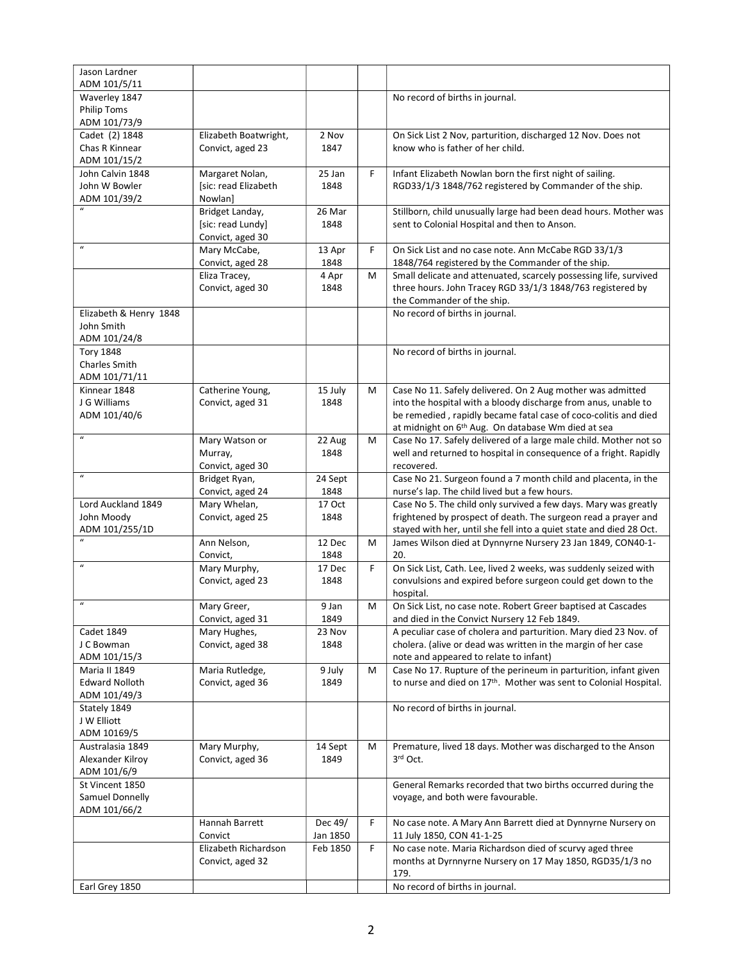| Jason Lardner                     |                                         |                |   |                                                                                                                                       |
|-----------------------------------|-----------------------------------------|----------------|---|---------------------------------------------------------------------------------------------------------------------------------------|
| ADM 101/5/11                      |                                         |                |   |                                                                                                                                       |
| Waverley 1847                     |                                         |                |   | No record of births in journal.                                                                                                       |
| <b>Philip Toms</b>                |                                         |                |   |                                                                                                                                       |
| ADM 101/73/9                      |                                         |                |   |                                                                                                                                       |
| Cadet (2) 1848                    | Elizabeth Boatwright,                   | 2 Nov          |   | On Sick List 2 Nov, parturition, discharged 12 Nov. Does not                                                                          |
| Chas R Kinnear                    | Convict, aged 23                        | 1847           |   | know who is father of her child.                                                                                                      |
| ADM 101/15/2                      |                                         |                |   |                                                                                                                                       |
| John Calvin 1848<br>John W Bowler | Margaret Nolan,<br>[sic: read Elizabeth | 25 Jan<br>1848 | F | Infant Elizabeth Nowlan born the first night of sailing.<br>RGD33/1/3 1848/762 registered by Commander of the ship.                   |
| ADM 101/39/2                      | Nowlanl                                 |                |   |                                                                                                                                       |
|                                   | Bridget Landay,                         | 26 Mar         |   | Stillborn, child unusually large had been dead hours. Mother was                                                                      |
|                                   | [sic: read Lundy]                       | 1848           |   | sent to Colonial Hospital and then to Anson.                                                                                          |
|                                   | Convict, aged 30                        |                |   |                                                                                                                                       |
| $\boldsymbol{\mathcal{U}}$        | Mary McCabe,                            | 13 Apr         | F | On Sick List and no case note. Ann McCabe RGD 33/1/3                                                                                  |
|                                   | Convict, aged 28                        | 1848           |   | 1848/764 registered by the Commander of the ship.                                                                                     |
|                                   | Eliza Tracey,                           | 4 Apr          | м | Small delicate and attenuated, scarcely possessing life, survived                                                                     |
|                                   | Convict, aged 30                        | 1848           |   | three hours. John Tracey RGD 33/1/3 1848/763 registered by                                                                            |
|                                   |                                         |                |   | the Commander of the ship.                                                                                                            |
| Elizabeth & Henry 1848            |                                         |                |   | No record of births in journal.                                                                                                       |
| John Smith                        |                                         |                |   |                                                                                                                                       |
| ADM 101/24/8                      |                                         |                |   |                                                                                                                                       |
| <b>Tory 1848</b>                  |                                         |                |   | No record of births in journal.                                                                                                       |
| Charles Smith<br>ADM 101/71/11    |                                         |                |   |                                                                                                                                       |
| Kinnear 1848                      | Catherine Young,                        | 15 July        | м | Case No 11. Safely delivered. On 2 Aug mother was admitted                                                                            |
| J G Williams                      | Convict, aged 31                        | 1848           |   | into the hospital with a bloody discharge from anus, unable to                                                                        |
| ADM 101/40/6                      |                                         |                |   | be remedied, rapidly became fatal case of coco-colitis and died                                                                       |
|                                   |                                         |                |   | at midnight on 6 <sup>th</sup> Aug. On database Wm died at sea                                                                        |
| $\boldsymbol{u}$                  | Mary Watson or                          | 22 Aug         | M | Case No 17. Safely delivered of a large male child. Mother not so                                                                     |
|                                   | Murray,                                 | 1848           |   | well and returned to hospital in consequence of a fright. Rapidly                                                                     |
|                                   | Convict, aged 30                        |                |   | recovered.                                                                                                                            |
| $\boldsymbol{u}$                  | Bridget Ryan,                           | 24 Sept        |   | Case No 21. Surgeon found a 7 month child and placenta, in the                                                                        |
|                                   | Convict, aged 24                        | 1848           |   | nurse's lap. The child lived but a few hours.                                                                                         |
| Lord Auckland 1849                | Mary Whelan,                            | 17 Oct         |   | Case No 5. The child only survived a few days. Mary was greatly                                                                       |
| John Moody<br>ADM 101/255/1D      | Convict, aged 25                        | 1848           |   | frightened by prospect of death. The surgeon read a prayer and<br>stayed with her, until she fell into a quiet state and died 28 Oct. |
| $\boldsymbol{u}$                  | Ann Nelson,                             | 12 Dec         | м | James Wilson died at Dynnyrne Nursery 23 Jan 1849, CON40-1-                                                                           |
|                                   | Convict,                                | 1848           |   | 20.                                                                                                                                   |
| $\boldsymbol{u}$                  | Mary Murphy,                            | 17 Dec         | F | On Sick List, Cath. Lee, lived 2 weeks, was suddenly seized with                                                                      |
|                                   | Convict, aged 23                        | 1848           |   | convulsions and expired before surgeon could get down to the                                                                          |
|                                   |                                         |                |   | hospital.                                                                                                                             |
| $\boldsymbol{u}$                  | Mary Greer,                             | $9$ Jan        | M | On Sick List, no case note. Robert Greer baptised at Cascades                                                                         |
|                                   | Convict, aged 31                        | 1849           |   | and died in the Convict Nursery 12 Feb 1849.                                                                                          |
| <b>Cadet 1849</b>                 | Mary Hughes,                            | 23 Nov         |   | A peculiar case of cholera and parturition. Mary died 23 Nov. of                                                                      |
| J C Bowman                        | Convict, aged 38                        | 1848           |   | cholera. (alive or dead was written in the margin of her case                                                                         |
| ADM 101/15/3<br>Maria II 1849     | Maria Rutledge,                         | 9 July         | м | note and appeared to relate to infant)<br>Case No 17. Rupture of the perineum in parturition, infant given                            |
| <b>Edward Nolloth</b>             | Convict, aged 36                        | 1849           |   | to nurse and died on 17th. Mother was sent to Colonial Hospital.                                                                      |
| ADM 101/49/3                      |                                         |                |   |                                                                                                                                       |
| Stately 1849                      |                                         |                |   | No record of births in journal.                                                                                                       |
| J W Elliott                       |                                         |                |   |                                                                                                                                       |
| ADM 10169/5                       |                                         |                |   |                                                                                                                                       |
| Australasia 1849                  | Mary Murphy,                            | 14 Sept        | M | Premature, lived 18 days. Mother was discharged to the Anson                                                                          |
| Alexander Kilroy                  | Convict, aged 36                        | 1849           |   | 3rd Oct.                                                                                                                              |
| ADM 101/6/9                       |                                         |                |   |                                                                                                                                       |
| St Vincent 1850                   |                                         |                |   | General Remarks recorded that two births occurred during the                                                                          |
| Samuel Donnelly                   |                                         |                |   | voyage, and both were favourable.                                                                                                     |
| ADM 101/66/2                      |                                         | Dec 49/        | F |                                                                                                                                       |
|                                   | Hannah Barrett<br>Convict               | Jan 1850       |   | No case note. A Mary Ann Barrett died at Dynnyrne Nursery on<br>11 July 1850, CON 41-1-25                                             |
|                                   | Elizabeth Richardson                    | Feb 1850       | F | No case note. Maria Richardson died of scurvy aged three                                                                              |
|                                   | Convict, aged 32                        |                |   | months at Dyrnnyrne Nursery on 17 May 1850, RGD35/1/3 no                                                                              |
|                                   |                                         |                |   | 179.                                                                                                                                  |
| Earl Grey 1850                    |                                         |                |   | No record of births in journal.                                                                                                       |